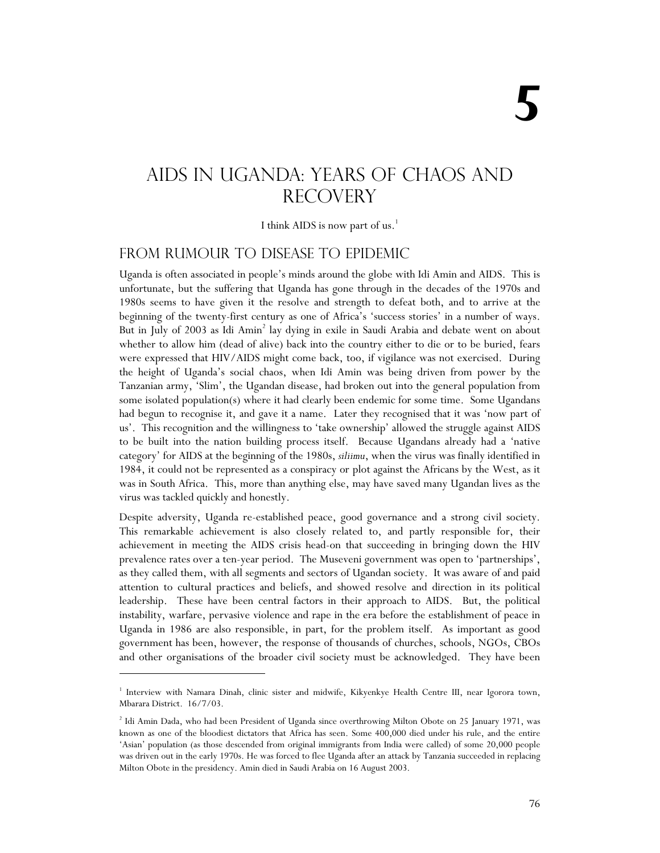# AIDS in Uganda: years of chaos and **RECOVERY**

I think AIDS is now part of us.<sup>1</sup>

#### From rumour to Disease to epidemic

Uganda is often associated in people's minds around the globe with Idi Amin and AIDS. This is unfortunate, but the suffering that Uganda has gone through in the decades of the 1970s and 1980s seems to have given it the resolve and strength to defeat both, and to arrive at the beginning of the twenty-first century as one of Africa's 'success stories' in a number of ways. But in July of 2003 as Idi Amin<sup>2</sup> lay dying in exile in Saudi Arabia and debate went on about whether to allow him (dead of alive) back into the country either to die or to be buried, fears were expressed that HIV/AIDS might come back, too, if vigilance was not exercised. During the height of Uganda's social chaos, when Idi Amin was being driven from power by the Tanzanian army, 'Slim', the Ugandan disease, had broken out into the general population from some isolated population(s) where it had clearly been endemic for some time. Some Ugandans had begun to recognise it, and gave it a name. Later they recognised that it was 'now part of us'. This recognition and the willingness to 'take ownership' allowed the struggle against AIDS to be built into the nation building process itself. Because Ugandans already had a 'native category' for AIDS at the beginning of the 1980s, *siliimu*, when the virus was finally identified in 1984, it could not be represented as a conspiracy or plot against the Africans by the West, as it was in South Africa. This, more than anything else, may have saved many Ugandan lives as the virus was tackled quickly and honestly.

Despite adversity, Uganda re-established peace, good governance and a strong civil society. This remarkable achievement is also closely related to, and partly responsible for, their achievement in meeting the AIDS crisis head-on that succeeding in bringing down the HIV prevalence rates over a ten-year period. The Museveni government was open to 'partnerships', as they called them, with all segments and sectors of Ugandan society. It was aware of and paid attention to cultural practices and beliefs, and showed resolve and direction in its political leadership. These have been central factors in their approach to AIDS. But, the political instability, warfare, pervasive violence and rape in the era before the establishment of peace in Uganda in 1986 are also responsible, in part, for the problem itself. As important as good government has been, however, the response of thousands of churches, schools, NGOs, CBOs and other organisations of the broader civil society must be acknowledged. They have been

<sup>&</sup>lt;sup>1</sup> Interview with Namara Dinah, clinic sister and midwife, Kikyenkye Health Centre III, near Igorora town, Mbarara District. 16/7/03.

<sup>2</sup> Idi Amin Dada, who had been President of Uganda since overthrowing Milton Obote on 25 January 1971, was known as one of the bloodiest dictators that Africa has seen. Some 400,000 died under his rule, and the entire 'Asian' population (as those descended from original immigrants from India were called) of some 20,000 people was driven out in the early 1970s. He was forced to flee Uganda after an attack by Tanzania succeeded in replacing Milton Obote in the presidency. Amin died in Saudi Arabia on 16 August 2003.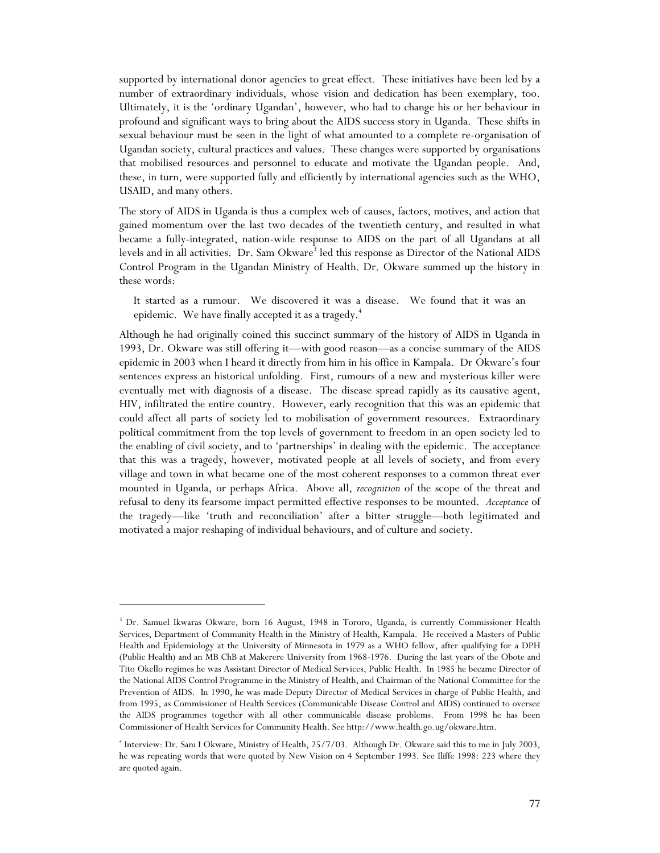supported by international donor agencies to great effect. These initiatives have been led by a number of extraordinary individuals, whose vision and dedication has been exemplary, too. Ultimately, it is the 'ordinary Ugandan', however, who had to change his or her behaviour in profound and significant ways to bring about the AIDS success story in Uganda. These shifts in sexual behaviour must be seen in the light of what amounted to a complete re-organisation of Ugandan society, cultural practices and values. These changes were supported by organisations that mobilised resources and personnel to educate and motivate the Ugandan people. And, these, in turn, were supported fully and efficiently by international agencies such as the WHO, USAID, and many others.

The story of AIDS in Uganda is thus a complex web of causes, factors, motives, and action that gained momentum over the last two decades of the twentieth century, and resulted in what became a fully-integrated, nation-wide response to AIDS on the part of all Ugandans at all levels and in all activities. Dr. Sam Okware<sup>3</sup> led this response as Director of the National AIDS Control Program in the Ugandan Ministry of Health. Dr. Okware summed up the history in these words:

It started as a rumour. We discovered it was a disease. We found that it was an epidemic. We have finally accepted it as a tragedy.<sup>4</sup>

Although he had originally coined this succinct summary of the history of AIDS in Uganda in 1993, Dr. Okware was still offering it—with good reason—as a concise summary of the AIDS epidemic in 2003 when I heard it directly from him in his office in Kampala. Dr Okware's four sentences express an historical unfolding. First, rumours of a new and mysterious killer were eventually met with diagnosis of a disease. The disease spread rapidly as its causative agent, HIV, infiltrated the entire country. However, early recognition that this was an epidemic that could affect all parts of society led to mobilisation of government resources. Extraordinary political commitment from the top levels of government to freedom in an open society led to the enabling of civil society, and to 'partnerships' in dealing with the epidemic. The acceptance that this was a tragedy, however, motivated people at all levels of society, and from every village and town in what became one of the most coherent responses to a common threat ever mounted in Uganda, or perhaps Africa. Above all, *recognition* of the scope of the threat and refusal to deny its fearsome impact permitted effective responses to be mounted. *Acceptance* of the tragedy—like 'truth and reconciliation' after a bitter struggle—both legitimated and motivated a major reshaping of individual behaviours, and of culture and society.

<sup>3</sup> Dr. Samuel Ikwaras Okware, born 16 August, 1948 in Tororo, Uganda, is currently Commissioner Health Services, Department of Community Health in the Ministry of Health, Kampala. He received a Masters of Public Health and Epidemiology at the University of Minnesota in 1979 as a WHO fellow, after qualifying for a DPH (Public Health) and an MB ChB at Makerere University from 1968-1976. During the last years of the Obote and Tito Okello regimes he was Assistant Director of Medical Services, Public Health. In 1985 he became Director of the National AIDS Control Programme in the Ministry of Health, and Chairman of the National Committee for the Prevention of AIDS. In 1990, he was made Deputy Director of Medical Services in charge of Public Health, and from 1995, as Commissioner of Health Services (Communicable Disease Control and AIDS) continued to oversee the AIDS programmes together with all other communicable disease problems. From 1998 he has been Commissioner of Health Services for Community Health. See http://www.health.go.ug/okware.htm.

<sup>4</sup> Interview: Dr. Sam I Okware, Ministry of Health, 25/7/03. Although Dr. Okware said this to me in July 2003, he was repeating words that were quoted by New Vision on 4 September 1993. See Iliffe 1998: 223 where they are quoted again.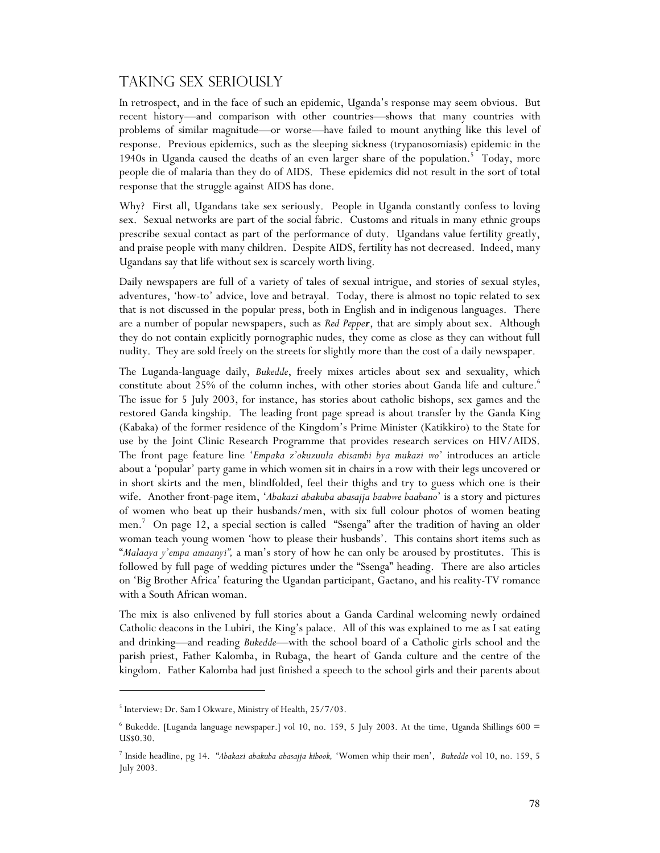# Taking Sex seriously

In retrospect, and in the face of such an epidemic, Uganda's response may seem obvious. But recent history—and comparison with other countries—shows that many countries with problems of similar magnitude—or worse—have failed to mount anything like this level of response. Previous epidemics, such as the sleeping sickness (trypanosomiasis) epidemic in the 1940s in Uganda caused the deaths of an even larger share of the population.<sup>5</sup> Today, more people die of malaria than they do of AIDS. These epidemics did not result in the sort of total response that the struggle against AIDS has done.

Why? First all, Ugandans take sex seriously. People in Uganda constantly confess to loving sex. Sexual networks are part of the social fabric. Customs and rituals in many ethnic groups prescribe sexual contact as part of the performance of duty. Ugandans value fertility greatly, and praise people with many children. Despite AIDS, fertility has not decreased. Indeed, many Ugandans say that life without sex is scarcely worth living.

Daily newspapers are full of a variety of tales of sexual intrigue, and stories of sexual styles, adventures, 'how-to' advice, love and betrayal. Today, there is almost no topic related to sex that is not discussed in the popular press, both in English and in indigenous languages. There are a number of popular newspapers, such as *Red Pepper*, that are simply about sex. Although they do not contain explicitly pornographic nudes, they come as close as they can without full nudity. They are sold freely on the streets for slightly more than the cost of a daily newspaper.

The Luganda-language daily, *Bukedde*, freely mixes articles about sex and sexuality, which constitute about 25% of the column inches, with other stories about Ganda life and culture.<sup>6</sup> The issue for 5 July 2003, for instance, has stories about catholic bishops, sex games and the restored Ganda kingship. The leading front page spread is about transfer by the Ganda King (Kabaka) of the former residence of the Kingdom's Prime Minister (Katikkiro) to the State for use by the Joint Clinic Research Programme that provides research services on HIV/AIDS. The front page feature line '*Empaka z'okuzuula ebisambi bya mukazi wo'* introduces an article about a 'popular' party game in which women sit in chairs in a row with their legs uncovered or in short skirts and the men, blindfolded, feel their thighs and try to guess which one is their wife. Another front-page item, '*Abakazi abakuba abasajja baabwe baabano*' is a story and pictures of women who beat up their husbands/men, with six full colour photos of women beating men.<sup>7</sup> On page 12, a special section is called "Ssenga" after the tradition of having an older woman teach young women 'how to please their husbands'. This contains short items such as "*Malaaya y'empa amaanyi",* a man's story of how he can only be aroused by prostitutes. This is followed by full page of wedding pictures under the "Ssenga" heading. There are also articles on 'Big Brother Africa' featuring the Ugandan participant, Gaetano, and his reality-TV romance with a South African woman.

The mix is also enlivened by full stories about a Ganda Cardinal welcoming newly ordained Catholic deacons in the Lubiri, the King's palace. All of this was explained to me as I sat eating and drinking—and reading *Bukedde*—with the school board of a Catholic girls school and the parish priest, Father Kalomba, in Rubaga, the heart of Ganda culture and the centre of the kingdom. Father Kalomba had just finished a speech to the school girls and their parents about

<sup>&</sup>lt;sup>5</sup> Interview: Dr. Sam I Okware, Ministry of Health, 25/7/03.

<sup>6</sup> Bukedde. [Luganda language newspaper.] vol 10, no. 159, 5 July 2003. At the time, Uganda Shillings 600 = US\$0.30.

<sup>7</sup> Inside headline, pg 14. "*Abakazi abakuba abasajja kibook,* 'Women whip their men', *Bukedde* vol 10, no. 159, 5 July 2003.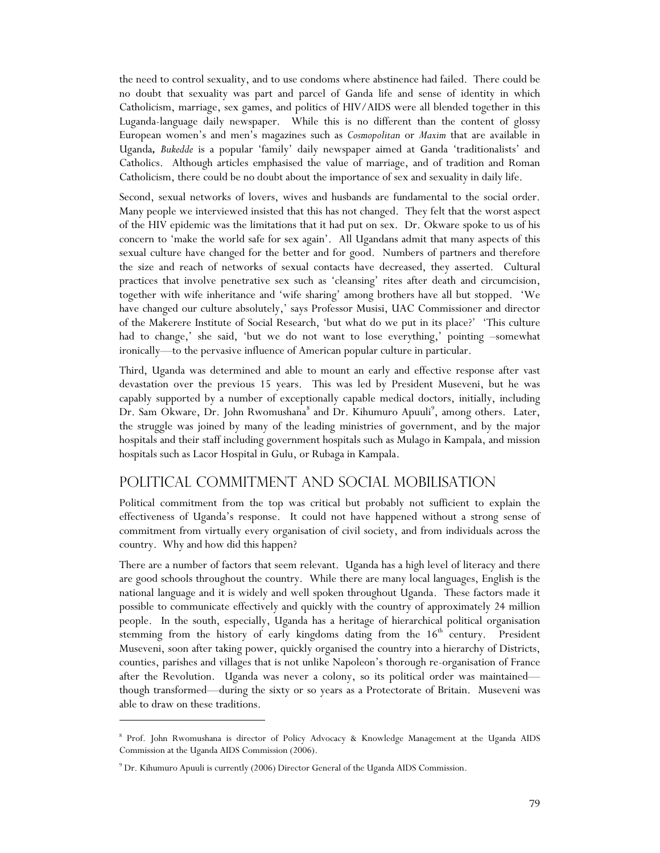the need to control sexuality, and to use condoms where abstinence had failed. There could be no doubt that sexuality was part and parcel of Ganda life and sense of identity in which Catholicism, marriage, sex games, and politics of HIV/AIDS were all blended together in this Luganda-language daily newspaper. While this is no different than the content of glossy European women's and men's magazines such as *Cosmopolitan* or *Maxim* that are available in Uganda*, Bukedde* is a popular 'family' daily newspaper aimed at Ganda 'traditionalists' and Catholics. Although articles emphasised the value of marriage, and of tradition and Roman Catholicism, there could be no doubt about the importance of sex and sexuality in daily life.

Second, sexual networks of lovers, wives and husbands are fundamental to the social order. Many people we interviewed insisted that this has not changed. They felt that the worst aspect of the HIV epidemic was the limitations that it had put on sex. Dr. Okware spoke to us of his concern to 'make the world safe for sex again'. All Ugandans admit that many aspects of this sexual culture have changed for the better and for good. Numbers of partners and therefore the size and reach of networks of sexual contacts have decreased, they asserted. Cultural practices that involve penetrative sex such as 'cleansing' rites after death and circumcision, together with wife inheritance and 'wife sharing' among brothers have all but stopped. 'We have changed our culture absolutely,' says Professor Musisi, UAC Commissioner and director of the Makerere Institute of Social Research, 'but what do we put in its place?' 'This culture had to change,' she said, 'but we do not want to lose everything,' pointing –somewhat ironically—to the pervasive influence of American popular culture in particular.

Third, Uganda was determined and able to mount an early and effective response after vast devastation over the previous 15 years. This was led by President Museveni, but he was capably supported by a number of exceptionally capable medical doctors, initially, including Dr. Sam Okware, Dr. John Rwomushana<sup>8</sup> and Dr. Kihumuro Apuuli<sup>9</sup>, among others. Later, the struggle was joined by many of the leading ministries of government, and by the major hospitals and their staff including government hospitals such as Mulago in Kampala, and mission hospitals such as Lacor Hospital in Gulu, or Rubaga in Kampala.

## Political commitment and social mobilisation

Political commitment from the top was critical but probably not sufficient to explain the effectiveness of Uganda's response. It could not have happened without a strong sense of commitment from virtually every organisation of civil society, and from individuals across the country. Why and how did this happen?

There are a number of factors that seem relevant. Uganda has a high level of literacy and there are good schools throughout the country. While there are many local languages, English is the national language and it is widely and well spoken throughout Uganda. These factors made it possible to communicate effectively and quickly with the country of approximately 24 million people. In the south, especially, Uganda has a heritage of hierarchical political organisation stemming from the history of early kingdoms dating from the  $16<sup>th</sup>$  century. President Museveni, soon after taking power, quickly organised the country into a hierarchy of Districts, counties, parishes and villages that is not unlike Napoleon's thorough re-organisation of France after the Revolution. Uganda was never a colony, so its political order was maintained though transformed—during the sixty or so years as a Protectorate of Britain. Museveni was able to draw on these traditions.

<sup>8</sup> Prof. John Rwomushana is director of Policy Advocacy & Knowledge Management at the Uganda AIDS Commission at the Uganda AIDS Commission (2006).

<sup>9</sup> Dr. Kihumuro Apuuli is currently (2006) Director General of the Uganda AIDS Commission.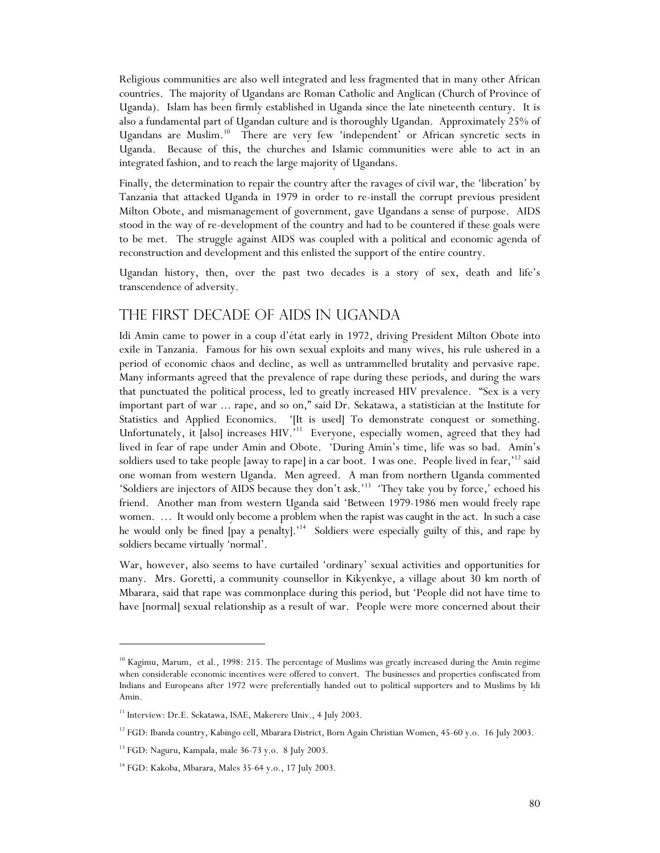Religious communities are also well integrated and less fragmented that in many other African countries. The majority of Ugandans are Roman Catholic and Anglican (Church of Province of Uganda). Islam has been firmly established in Uganda since the late nineteenth century. It is also a fundamental part of Ugandan culture and is thoroughly Ugandan. Approximately 25% of Ugandans are Muslim.10 There are very few 'independent' or African syncretic sects in Uganda. Because of this, the churches and Islamic communities were able to act in an integrated fashion, and to reach the large majority of Ugandans.

Finally, the determination to repair the country after the ravages of civil war, the 'liberation' by Tanzania that attacked Uganda in 1979 in order to re-install the corrupt previous president Milton Obote, and mismanagement of government, gave Ugandans a sense of purpose. AIDS stood in the way of re-development of the country and had to be countered if these goals were to be met. The struggle against AIDS was coupled with a political and economic agenda of reconstruction and development and this enlisted the support of the entire country.

Ugandan history, then, over the past two decades is a story of sex, death and life's transcendence of adversity.

### The first decade of AIDS in Uganda

Idi Amin came to power in a coup d'état early in 1972, driving President Milton Obote into exile in Tanzania. Famous for his own sexual exploits and many wives, his rule ushered in a period of economic chaos and decline, as well as untrammelled brutality and pervasive rape. Many informants agreed that the prevalence of rape during these periods, and during the wars that punctuated the political process, led to greatly increased HIV prevalence. "Sex is a very important part of war ... rape, and so on," said Dr. Sekatawa, a statistician at the Institute for Statistics and Applied Economics. '[It is used] To demonstrate conquest or something. Unfortunately, it [also] increases HIV.'<sup>11</sup> Everyone, especially women, agreed that they had lived in fear of rape under Amin and Obote. 'During Amin's time, life was so bad. Amin's soldiers used to take people [away to rape] in a car boot. I was one. People lived in fear,<sup>12</sup> said one woman from western Uganda. Men agreed. A man from northern Uganda commented 'Soldiers are injectors of AIDS because they don't ask.'<sup>13</sup> 'They take you by force,' echoed his friend. Another man from western Uganda said 'Between 1979-1986 men would freely rape women. … It would only become a problem when the rapist was caught in the act. In such a case he would only be fined  $[pay a penalty].$ <sup>14</sup> Soldiers were especially guilty of this, and rape by soldiers became virtually 'normal'.

War, however, also seems to have curtailed 'ordinary' sexual activities and opportunities for many. Mrs. Goretti, a community counsellor in Kikyenkye, a village about 30 km north of Mbarara, said that rape was commonplace during this period, but 'People did not have time to have [normal] sexual relationship as a result of war. People were more concerned about their

<sup>&</sup>lt;sup>10</sup> Kagimu, Marum, et al., 1998: 215. The percentage of Muslims was greatly increased during the Amin regime when considerable economic incentives were offered to convert. The businesses and properties confiscated from Indians and Europeans after 1972 were preferentially handed out to political supporters and to Muslims by Idi Amin.

<sup>&</sup>lt;sup>11</sup> Interview: Dr.E. Sekatawa, ISAE, Makerere Univ., 4 July 2003.

<sup>&</sup>lt;sup>12</sup> FGD: Ibanda country, Kabingo cell, Mbarara District, Born Again Christian Women, 45-60 y.o. 16 July 2003.

<sup>&</sup>lt;sup>13</sup> FGD: Naguru, Kampala, male 36-73 y.o. 8 July 2003.

<sup>14</sup> FGD: Kakoba, Mbarara, Males 35-64 y.o., 17 July 2003.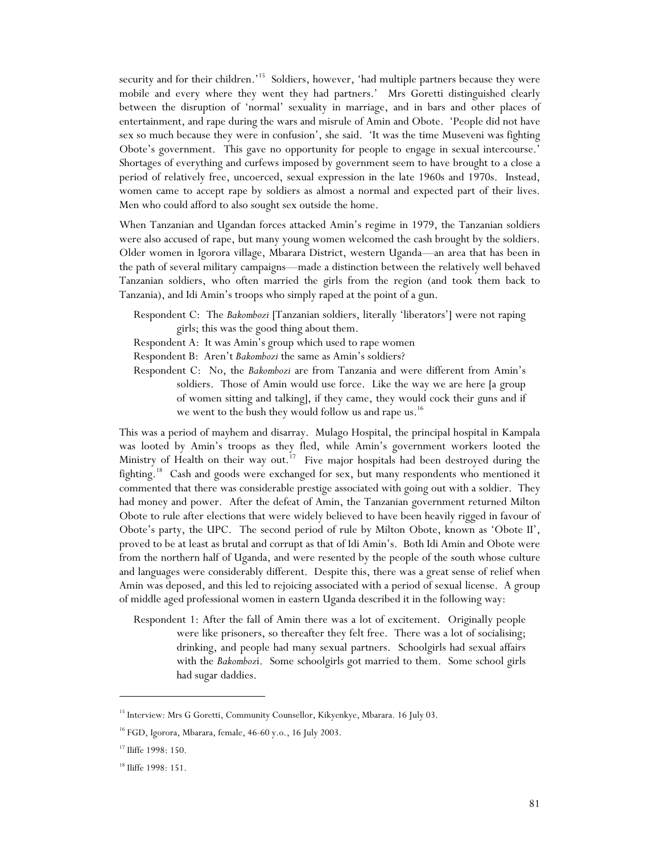security and for their children.'<sup>15</sup> Soldiers, however, 'had multiple partners because they were mobile and every where they went they had partners.' Mrs Goretti distinguished clearly between the disruption of 'normal' sexuality in marriage, and in bars and other places of entertainment, and rape during the wars and misrule of Amin and Obote. 'People did not have sex so much because they were in confusion', she said. 'It was the time Museveni was fighting Obote's government. This gave no opportunity for people to engage in sexual intercourse.' Shortages of everything and curfews imposed by government seem to have brought to a close a period of relatively free, uncoerced, sexual expression in the late 1960s and 1970s. Instead, women came to accept rape by soldiers as almost a normal and expected part of their lives. Men who could afford to also sought sex outside the home.

When Tanzanian and Ugandan forces attacked Amin's regime in 1979, the Tanzanian soldiers were also accused of rape, but many young women welcomed the cash brought by the soldiers. Older women in Igorora village, Mbarara District, western Uganda—an area that has been in the path of several military campaigns—made a distinction between the relatively well behaved Tanzanian soldiers, who often married the girls from the region (and took them back to Tanzania), and Idi Amin's troops who simply raped at the point of a gun.

- Respondent C: The *Bakombozi* [Tanzanian soldiers, literally 'liberators'] were not raping girls; this was the good thing about them.
- Respondent A: It was Amin's group which used to rape women
- Respondent B: Aren't *Bakombozi* the same as Amin's soldiers?
- Respondent C: No, the *Bakombozi* are from Tanzania and were different from Amin's soldiers. Those of Amin would use force. Like the way we are here [a group of women sitting and talking], if they came, they would cock their guns and if we went to the bush they would follow us and rape us.<sup>16</sup>

This was a period of mayhem and disarray. Mulago Hospital, the principal hospital in Kampala was looted by Amin's troops as they fled, while Amin's government workers looted the Ministry of Health on their way out.<sup>17</sup> Five major hospitals had been destroyed during the fighting.<sup>18</sup> Cash and goods were exchanged for sex, but many respondents who mentioned it commented that there was considerable prestige associated with going out with a soldier. They had money and power. After the defeat of Amin, the Tanzanian government returned Milton Obote to rule after elections that were widely believed to have been heavily rigged in favour of Obote's party, the UPC. The second period of rule by Milton Obote, known as 'Obote II', proved to be at least as brutal and corrupt as that of Idi Amin's. Both Idi Amin and Obote were from the northern half of Uganda, and were resented by the people of the south whose culture and languages were considerably different. Despite this, there was a great sense of relief when Amin was deposed, and this led to rejoicing associated with a period of sexual license. A group of middle aged professional women in eastern Uganda described it in the following way:

Respondent 1: After the fall of Amin there was a lot of excitement. Originally people were like prisoners, so thereafter they felt free. There was a lot of socialising; drinking, and people had many sexual partners. Schoolgirls had sexual affairs with the *Bakomboz*i. Some schoolgirls got married to them. Some school girls had sugar daddies.

<sup>&</sup>lt;sup>15</sup> Interview: Mrs G Goretti, Community Counsellor, Kikyenkye, Mbarara. 16 July 03.

<sup>16</sup> FGD, Igorora, Mbarara, female, 46-60 y.o., 16 July 2003.

<sup>17</sup> Iliffe 1998: 150.

<sup>18</sup> Iliffe 1998: 151.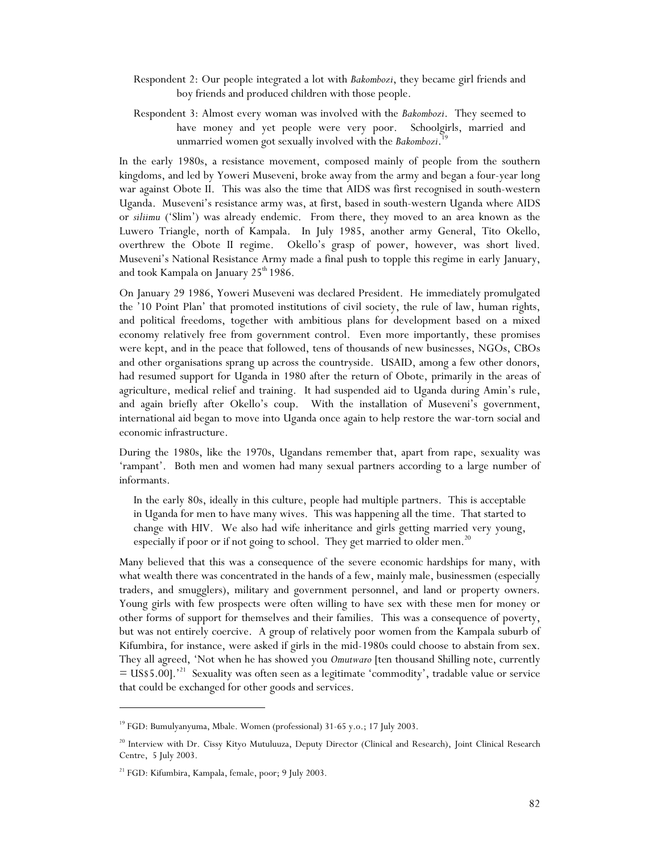- Respondent 2: Our people integrated a lot with *Bakombozi*, they became girl friends and boy friends and produced children with those people.
- Respondent 3: Almost every woman was involved with the *Bakombozi*. They seemed to have money and yet people were very poor. Schoolgirls, married and unmarried women got sexually involved with the *Bakombozi*. 19

In the early 1980s, a resistance movement, composed mainly of people from the southern kingdoms, and led by Yoweri Museveni, broke away from the army and began a four-year long war against Obote II. This was also the time that AIDS was first recognised in south-western Uganda. Museveni's resistance army was, at first, based in south-western Uganda where AIDS or *siliimu* ('Slim') was already endemic. From there, they moved to an area known as the Luwero Triangle, north of Kampala. In July 1985, another army General, Tito Okello, overthrew the Obote II regime. Okello's grasp of power, however, was short lived. Museveni's National Resistance Army made a final push to topple this regime in early January, and took Kampala on January  $25<sup>th</sup> 1986$ .

On January 29 1986, Yoweri Museveni was declared President. He immediately promulgated the '10 Point Plan' that promoted institutions of civil society, the rule of law, human rights, and political freedoms, together with ambitious plans for development based on a mixed economy relatively free from government control. Even more importantly, these promises were kept, and in the peace that followed, tens of thousands of new businesses, NGOs, CBOs and other organisations sprang up across the countryside. USAID, among a few other donors, had resumed support for Uganda in 1980 after the return of Obote, primarily in the areas of agriculture, medical relief and training. It had suspended aid to Uganda during Amin's rule, and again briefly after Okello's coup. With the installation of Museveni's government, international aid began to move into Uganda once again to help restore the war-torn social and economic infrastructure.

During the 1980s, like the 1970s, Ugandans remember that, apart from rape, sexuality was 'rampant'. Both men and women had many sexual partners according to a large number of informants.

In the early 80s, ideally in this culture, people had multiple partners. This is acceptable in Uganda for men to have many wives. This was happening all the time. That started to change with HIV. We also had wife inheritance and girls getting married very young, especially if poor or if not going to school. They get married to older men.<sup>20</sup>

Many believed that this was a consequence of the severe economic hardships for many, with what wealth there was concentrated in the hands of a few, mainly male, businessmen (especially traders, and smugglers), military and government personnel, and land or property owners. Young girls with few prospects were often willing to have sex with these men for money or other forms of support for themselves and their families. This was a consequence of poverty, but was not entirely coercive. A group of relatively poor women from the Kampala suburb of Kifumbira, for instance, were asked if girls in the mid-1980s could choose to abstain from sex. They all agreed, 'Not when he has showed you *Omutwaro* [ten thousand Shilling note, currently  $=$  US\$5.00].<sup>'21</sup> Sexuality was often seen as a legitimate 'commodity', tradable value or service that could be exchanged for other goods and services.

<sup>19</sup> FGD: Bumulyanyuma, Mbale. Women (professional) 31-65 y.o.; 17 July 2003.

<sup>&</sup>lt;sup>20</sup> Interview with Dr. Cissy Kityo Mutuluuza, Deputy Director (Clinical and Research), Joint Clinical Research Centre, 5 July 2003.

<sup>&</sup>lt;sup>21</sup> FGD: Kifumbira, Kampala, female, poor; 9 July 2003.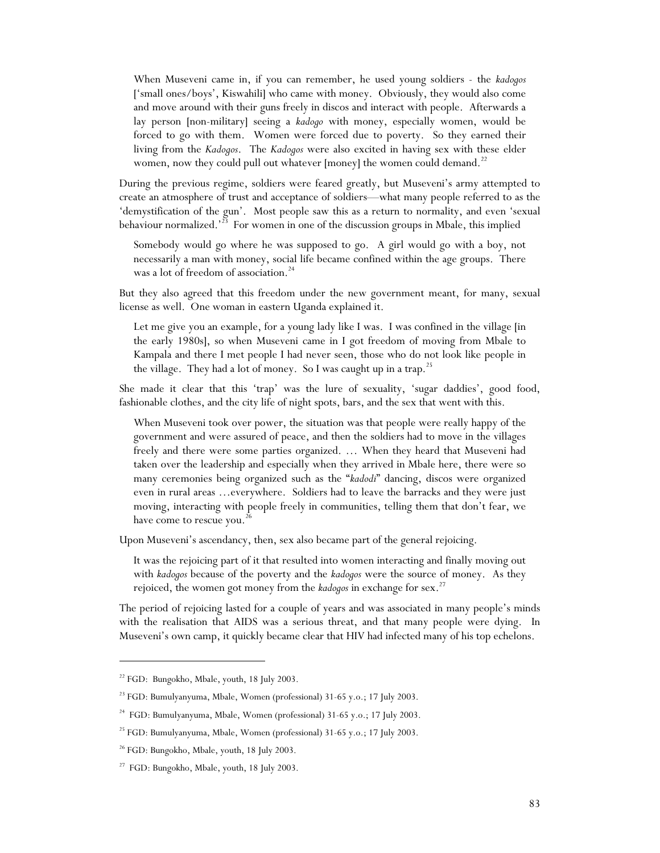When Museveni came in, if you can remember, he used young soldiers - the *kadogos* ['small ones/boys', Kiswahili] who came with money. Obviously, they would also come and move around with their guns freely in discos and interact with people. Afterwards a lay person [non-military] seeing a *kadogo* with money, especially women, would be forced to go with them. Women were forced due to poverty. So they earned their living from the *Kadogos*. The *Kadogos* were also excited in having sex with these elder women, now they could pull out whatever [money] the women could demand.<sup>22</sup>

During the previous regime, soldiers were feared greatly, but Museveni's army attempted to create an atmosphere of trust and acceptance of soldiers—what many people referred to as the 'demystification of the gun'. Most people saw this as a return to normality, and even 'sexual behaviour normalized.'<sup>23</sup> For women in one of the discussion groups in Mbale, this implied

Somebody would go where he was supposed to go. A girl would go with a boy, not necessarily a man with money, social life became confined within the age groups. There was a lot of freedom of association.<sup>24</sup>

But they also agreed that this freedom under the new government meant, for many, sexual license as well. One woman in eastern Uganda explained it.

Let me give you an example, for a young lady like I was. I was confined in the village [in the early 1980s], so when Museveni came in I got freedom of moving from Mbale to Kampala and there I met people I had never seen, those who do not look like people in the village. They had a lot of money. So I was caught up in a trap.<sup>25</sup>

She made it clear that this 'trap' was the lure of sexuality, 'sugar daddies', good food, fashionable clothes, and the city life of night spots, bars, and the sex that went with this.

When Museveni took over power, the situation was that people were really happy of the government and were assured of peace, and then the soldiers had to move in the villages freely and there were some parties organized. … When they heard that Museveni had taken over the leadership and especially when they arrived in Mbale here, there were so many ceremonies being organized such as the "*kadodi*" dancing, discos were organized even in rural areas …everywhere. Soldiers had to leave the barracks and they were just moving, interacting with people freely in communities, telling them that don't fear, we have come to rescue you. $^{26}$ 

Upon Museveni's ascendancy, then, sex also became part of the general rejoicing.

It was the rejoicing part of it that resulted into women interacting and finally moving out with *kadogos* because of the poverty and the *kadogos* were the source of money. As they rejoiced, the women got money from the *kadogos* in exchange for sex.<sup>27</sup>

The period of rejoicing lasted for a couple of years and was associated in many people's minds with the realisation that AIDS was a serious threat, and that many people were dying. In Museveni's own camp, it quickly became clear that HIV had infected many of his top echelons.

<sup>&</sup>lt;sup>22</sup> FGD: Bungokho, Mbale, youth, 18 July 2003.

<sup>&</sup>lt;sup>23</sup> FGD: Bumulyanyuma, Mbale, Women (professional) 31-65 y.o.; 17 July 2003.

<sup>&</sup>lt;sup>24</sup> FGD: Bumulyanyuma, Mbale, Women (professional) 31-65 y.o.; 17 July 2003.

<sup>&</sup>lt;sup>25</sup> FGD: Bumulyanyuma, Mbale, Women (professional) 31-65 y.o.; 17 July 2003.

<sup>&</sup>lt;sup>26</sup> FGD: Bungokho, Mbale, youth, 18 July 2003.

<sup>&</sup>lt;sup>27</sup> FGD: Bungokho, Mbale, youth, 18 July 2003.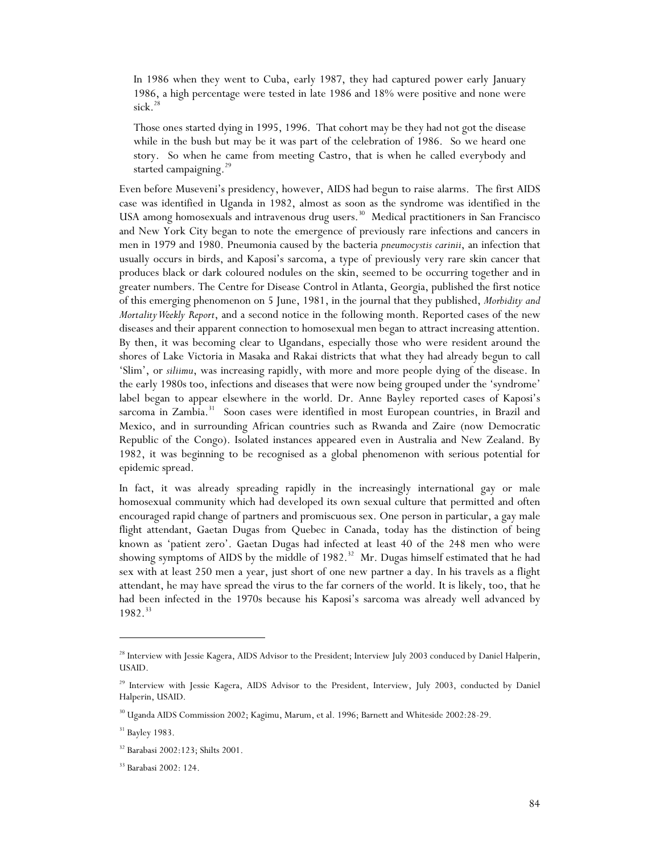In 1986 when they went to Cuba, early 1987, they had captured power early January 1986, a high percentage were tested in late 1986 and 18% were positive and none were sick.<sup>28</sup>

Those ones started dying in 1995, 1996. That cohort may be they had not got the disease while in the bush but may be it was part of the celebration of 1986. So we heard one story. So when he came from meeting Castro, that is when he called everybody and started campaigning.<sup>29</sup>

Even before Museveni's presidency, however, AIDS had begun to raise alarms. The first AIDS case was identified in Uganda in 1982, almost as soon as the syndrome was identified in the USA among homosexuals and intravenous drug users.<sup>30</sup> Medical practitioners in San Francisco and New York City began to note the emergence of previously rare infections and cancers in men in 1979 and 1980. Pneumonia caused by the bacteria *pneumocystis carinii*, an infection that usually occurs in birds, and Kaposi's sarcoma, a type of previously very rare skin cancer that produces black or dark coloured nodules on the skin, seemed to be occurring together and in greater numbers. The Centre for Disease Control in Atlanta, Georgia, published the first notice of this emerging phenomenon on 5 June, 1981, in the journal that they published, *Morbidity and Mortality Weekly Report*, and a second notice in the following month. Reported cases of the new diseases and their apparent connection to homosexual men began to attract increasing attention. By then, it was becoming clear to Ugandans, especially those who were resident around the shores of Lake Victoria in Masaka and Rakai districts that what they had already begun to call 'Slim', or *siliimu*, was increasing rapidly, with more and more people dying of the disease. In the early 1980s too, infections and diseases that were now being grouped under the 'syndrome' label began to appear elsewhere in the world. Dr. Anne Bayley reported cases of Kaposi's sarcoma in Zambia.<sup>31</sup> Soon cases were identified in most European countries, in Brazil and Mexico, and in surrounding African countries such as Rwanda and Zaire (now Democratic Republic of the Congo). Isolated instances appeared even in Australia and New Zealand. By 1982, it was beginning to be recognised as a global phenomenon with serious potential for epidemic spread.

In fact, it was already spreading rapidly in the increasingly international gay or male homosexual community which had developed its own sexual culture that permitted and often encouraged rapid change of partners and promiscuous sex. One person in particular, a gay male flight attendant, Gaetan Dugas from Quebec in Canada, today has the distinction of being known as 'patient zero'. Gaetan Dugas had infected at least 40 of the 248 men who were showing symptoms of AIDS by the middle of  $1982<sup>32</sup>$  Mr. Dugas himself estimated that he had sex with at least 250 men a year, just short of one new partner a day. In his travels as a flight attendant, he may have spread the virus to the far corners of the world. It is likely, too, that he had been infected in the 1970s because his Kaposi's sarcoma was already well advanced by 1982.33

<sup>&</sup>lt;sup>28</sup> Interview with Jessie Kagera, AIDS Advisor to the President; Interview July 2003 conduced by Daniel Halperin, USAID.

<sup>&</sup>lt;sup>29</sup> Interview with Jessie Kagera, AIDS Advisor to the President, Interview, July 2003, conducted by Daniel Halperin, USAID.

<sup>&</sup>lt;sup>30</sup> Uganda AIDS Commission 2002; Kagimu, Marum, et al. 1996; Barnett and Whiteside 2002:28-29.

<sup>&</sup>lt;sup>31</sup> Bayley 1983.

<sup>32</sup> Barabasi 2002:123; Shilts 2001.

<sup>33</sup> Barabasi 2002: 124.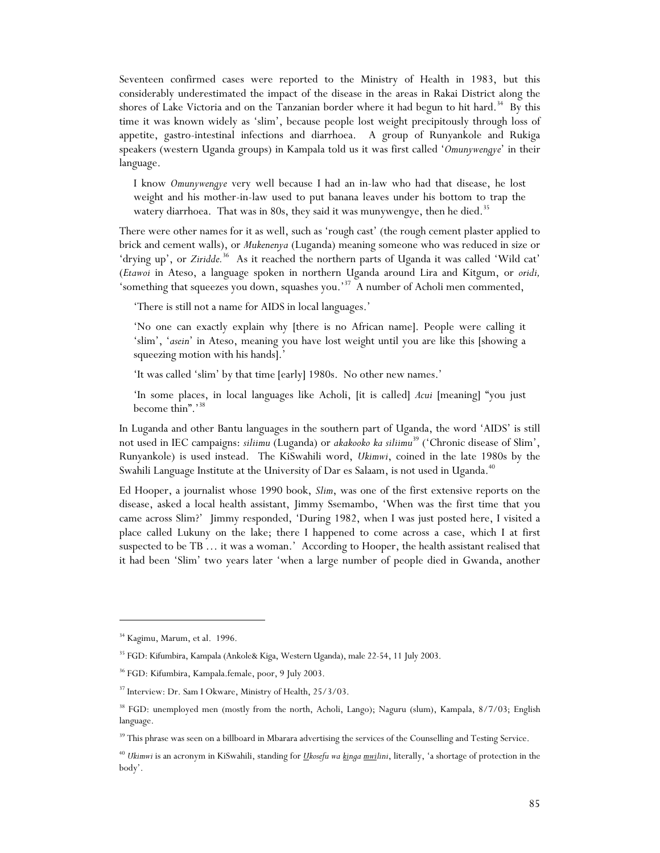Seventeen confirmed cases were reported to the Ministry of Health in 1983, but this considerably underestimated the impact of the disease in the areas in Rakai District along the shores of Lake Victoria and on the Tanzanian border where it had begun to hit hard.<sup>34</sup> By this time it was known widely as 'slim', because people lost weight precipitously through loss of appetite, gastro-intestinal infections and diarrhoea. A group of Runyankole and Rukiga speakers (western Uganda groups) in Kampala told us it was first called '*Omunywengye*' in their language.

I know *Omunywengye* very well because I had an in-law who had that disease, he lost weight and his mother-in-law used to put banana leaves under his bottom to trap the watery diarrhoea. That was in 80s, they said it was munywengye, then he died.<sup>35</sup>

There were other names for it as well, such as 'rough cast' (the rough cement plaster applied to brick and cement walls), or *Mukenenya* (Luganda) meaning someone who was reduced in size or 'drying up', or *Ziridde.*<sup>36</sup> As it reached the northern parts of Uganda it was called 'Wild cat' (*Etawoi* in Ateso, a language spoken in northern Uganda around Lira and Kitgum, or *oridi,*  'something that squeezes you down, squashes you.'37 A number of Acholi men commented,

'There is still not a name for AIDS in local languages.'

'No one can exactly explain why [there is no African name]. People were calling it 'slim', '*asein*' in Ateso, meaning you have lost weight until you are like this [showing a squeezing motion with his hands].'

'It was called 'slim' by that time [early] 1980s. No other new names.'

'In some places, in local languages like Acholi, [it is called] *Acui* [meaning] "you just become thin".'<sup>38</sup>

In Luganda and other Bantu languages in the southern part of Uganda, the word 'AIDS' is still not used in IEC campaigns: *siliimu* (Luganda) or *akakooko ka siliimu*<sup>39</sup> ('Chronic disease of Slim', Runyankole) is used instead. The KiSwahili word, *Ukimwi*, coined in the late 1980s by the Swahili Language Institute at the University of Dar es Salaam, is not used in Uganda.<sup>40</sup>

Ed Hooper, a journalist whose 1990 book, *Slim*, was one of the first extensive reports on the disease, asked a local health assistant, Jimmy Ssemambo, 'When was the first time that you came across Slim?' Jimmy responded, 'During 1982, when I was just posted here, I visited a place called Lukuny on the lake; there I happened to come across a case, which I at first suspected to be TB … it was a woman.' According to Hooper, the health assistant realised that it had been 'Slim' two years later 'when a large number of people died in Gwanda, another

j

<sup>&</sup>lt;sup>34</sup> Kagimu, Marum, et al. 1996.

<sup>35</sup> FGD: Kifumbira, Kampala (Ankole& Kiga, Western Uganda), male 22-54, 11 July 2003.

<sup>36</sup> FGD: Kifumbira, Kampala.female, poor, 9 July 2003.

<sup>&</sup>lt;sup>37</sup> Interview: Dr. Sam I Okware, Ministry of Health, 25/3/03.

<sup>&</sup>lt;sup>38</sup> FGD: unemployed men (mostly from the north, Acholi, Lango); Naguru (slum), Kampala, 8/7/03; English language.

<sup>&</sup>lt;sup>39</sup> This phrase was seen on a billboard in Mbarara advertising the services of the Counselling and Testing Service.

<sup>40</sup> *Ukimwi* is an acronym in KiSwahili, standing for *Ukosefu wa kinga mwilini*, literally, 'a shortage of protection in the body'.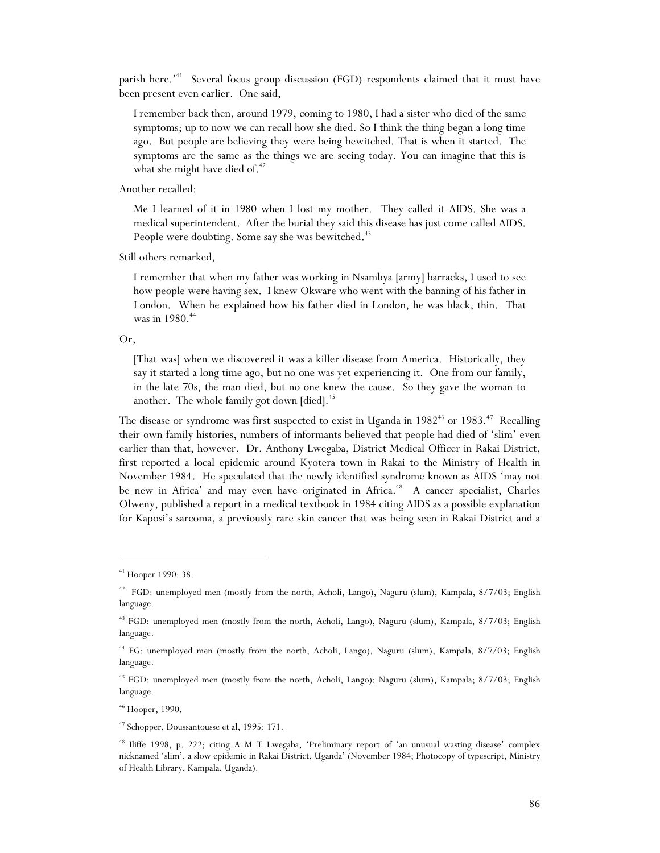parish here.'<sup>41</sup> Several focus group discussion (FGD) respondents claimed that it must have been present even earlier. One said,

I remember back then, around 1979, coming to 1980, I had a sister who died of the same symptoms; up to now we can recall how she died. So I think the thing began a long time ago. But people are believing they were being bewitched. That is when it started. The symptoms are the same as the things we are seeing today. You can imagine that this is what she might have died of. $42$ 

Another recalled:

Me I learned of it in 1980 when I lost my mother. They called it AIDS. She was a medical superintendent. After the burial they said this disease has just come called AIDS. People were doubting. Some say she was bewitched.<sup>43</sup>

Still others remarked,

I remember that when my father was working in Nsambya [army] barracks, I used to see how people were having sex. I knew Okware who went with the banning of his father in London. When he explained how his father died in London, he was black, thin. That was in  $1980^{44}$ 

Or,

[That was] when we discovered it was a killer disease from America. Historically, they say it started a long time ago, but no one was yet experiencing it. One from our family, in the late 70s, the man died, but no one knew the cause. So they gave the woman to another. The whole family got down [died].<sup>45</sup>

The disease or syndrome was first suspected to exist in Uganda in 1982<sup>46</sup> or 1983.<sup>47</sup> Recalling their own family histories, numbers of informants believed that people had died of 'slim' even earlier than that, however. Dr. Anthony Lwegaba, District Medical Officer in Rakai District, first reported a local epidemic around Kyotera town in Rakai to the Ministry of Health in November 1984. He speculated that the newly identified syndrome known as AIDS 'may not be new in Africa' and may even have originated in Africa.<sup>48</sup> A cancer specialist, Charles Olweny, published a report in a medical textbook in 1984 citing AIDS as a possible explanation for Kaposi's sarcoma, a previously rare skin cancer that was being seen in Rakai District and a

<sup>41</sup> Hooper 1990: 38.

<sup>42</sup> FGD: unemployed men (mostly from the north, Acholi, Lango), Naguru (slum), Kampala, 8/7/03; English language.

<sup>43</sup> FGD: unemployed men (mostly from the north, Acholi, Lango), Naguru (slum), Kampala, 8/7/03; English language.

<sup>&</sup>lt;sup>44</sup> FG: unemployed men (mostly from the north, Acholi, Lango), Naguru (slum), Kampala, 8/7/03; English language.

<sup>45</sup> FGD: unemployed men (mostly from the north, Acholi, Lango); Naguru (slum), Kampala; 8/7/03; English language.

<sup>46</sup> Hooper, 1990.

<sup>47</sup> Schopper, Doussantousse et al, 1995: 171.

<sup>48</sup> Iliffe 1998, p. 222; citing A M T Lwegaba, 'Preliminary report of 'an unusual wasting disease' complex nicknamed 'slim', a slow epidemic in Rakai District, Uganda' (November 1984; Photocopy of typescript, Ministry of Health Library, Kampala, Uganda).